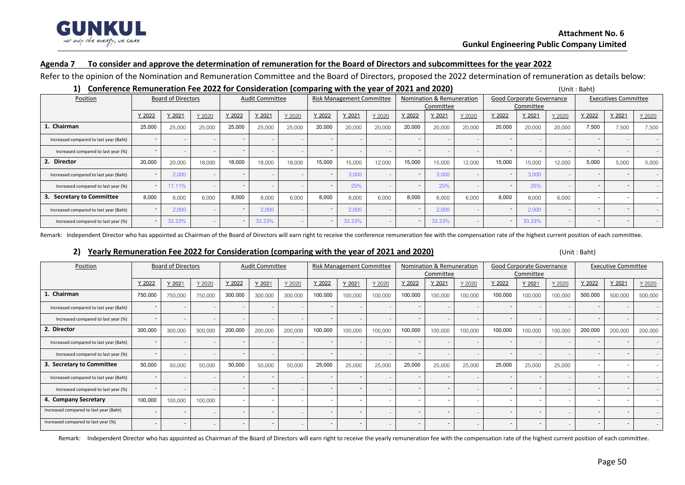

#### **Agenda 7 To consider and approve the determination of remuneration for the Board of Directors and subcommittees for the year 2022**

Refer to the opinion of the Nomination and Remuneration Committee and the Board of Directors, proposed the 2022 determination of remuneration as details below:

| Conference Remuneration Fee 2022 for Consideration (comparing with the year of 2021 and 2020)<br>(Unit: Baht) |        |                           |        |        |                        |        |        |                                  |        |                           |        |                           |           |        |        |                             |        |        |
|---------------------------------------------------------------------------------------------------------------|--------|---------------------------|--------|--------|------------------------|--------|--------|----------------------------------|--------|---------------------------|--------|---------------------------|-----------|--------|--------|-----------------------------|--------|--------|
| Position                                                                                                      |        | <b>Board of Directors</b> |        |        | <b>Audit Committee</b> |        |        | <b>Risk Management Committee</b> |        | Nomination & Remuneration |        | Good Corporate Governance |           |        |        | <b>Executives Committee</b> |        |        |
|                                                                                                               |        |                           |        |        |                        |        |        |                                  |        | Committee                 |        |                           | Committee |        |        |                             |        |        |
|                                                                                                               | Y 2022 | Y 2021                    | Y 2020 | Y 2022 | Y 2021                 | Y 2020 | Y 2022 | Y 2021                           | Y 2020 | Y 2022                    | Y 2021 | Y 2020                    | Y 2022    | Y 2021 | Y 2020 | Y 2022                      | Y 2021 | Y 2020 |
| 1. Chairman                                                                                                   | 25,000 | 25,000                    | 25,000 | 25,000 | 25,000                 | 25,000 | 20,000 | 20,000                           | 20,000 | 20,000                    | 20,000 | 20,000                    | 20,000    | 20,000 | 20,000 | 7,500                       | 7,500  | 7,500  |
| Increased compared to last year (Baht)                                                                        |        | $\sim$                    |        |        |                        |        |        |                                  |        |                           |        |                           |           |        |        |                             |        |        |
| Increased compared to last year (%)                                                                           |        |                           |        |        |                        |        |        |                                  |        |                           |        |                           |           |        |        |                             |        |        |
| 2. Director                                                                                                   | 20,000 | 20,000                    | 18,000 | 18,000 | 18,000                 | 18,000 | 15,000 | 15,000                           | 12,000 | 15,000                    | 15,000 | 12,000                    | 15,000    | 15,000 | 12,000 | 5,000                       | 5,000  | 5,000  |
| Increased compared to last year (Baht)                                                                        |        | 2,000                     |        |        |                        |        |        | 3,000                            |        |                           | 3,000  |                           |           | 3,000  |        |                             |        |        |
| Increased compared to last year (%)                                                                           |        | 11.11%                    |        |        |                        |        |        | 25%                              |        |                           | 25%    |                           |           | 25%    |        |                             |        |        |
| 3. Secretary to Committee                                                                                     | 8,000  | 8,000                     | 6,000  | 8,000  | 8,000                  | 6,000  | 8,000  | 8,000                            | 6,000  | 8,000                     | 8,000  | 6,000                     | 8,000     | 8,000  | 6,000  |                             |        |        |
| Increased compared to last year (Baht)                                                                        |        | 2,000                     |        |        | 2,000                  |        |        | 2,000                            |        |                           | 2,000  |                           |           | 2,000  |        |                             |        |        |
| Increased compared to last year (%)                                                                           |        | 33.33%                    |        |        | 33.33%                 |        |        | 33.33%                           |        |                           | 33.33% |                           |           | 33.33% |        |                             |        |        |

Remark: Independent Director who has appointed as Chairman of the Board of Directors will earn right to receive the conference remuneration fee with the compensation rate of the highest current position of each committee.

## **2) Yearly Remuneration Fee 2022 for Consideration (comparing with the year of 2021 and 2020)** (Unit : Baht)

| Position                               | <b>Board of Directors</b> |         |         | <b>Audit Committee</b>   |                          |                          | <b>Risk Management Committee</b> |                          |                          | Nomination & Remuneration |                          |                          | Good Corporate Governance |           |                          | <b>Executive Committee</b> |                          |                          |
|----------------------------------------|---------------------------|---------|---------|--------------------------|--------------------------|--------------------------|----------------------------------|--------------------------|--------------------------|---------------------------|--------------------------|--------------------------|---------------------------|-----------|--------------------------|----------------------------|--------------------------|--------------------------|
|                                        |                           |         |         |                          |                          |                          |                                  |                          |                          |                           | Committee                |                          |                           | Committee |                          |                            |                          |                          |
|                                        | Y 2022                    | Y 2021  | Y 2020  | Y 2022                   | Y 2021                   | Y 2020                   | Y 2022                           | Y 2021                   | Y 2020                   | Y 2022                    | Y 2021                   | Y 2020                   | Y 2022                    | Y 2021    | Y 2020                   | Y 2022                     | Y 2021                   | Y 2020                   |
| Chairman                               | 750,000                   | 750,000 | 750,000 | 300.000                  | 300.000                  | 300.000                  | 100,000                          | 100,000                  | 100,000                  | 100,000                   | 100,000                  | 100,000                  | 100,000                   | 100,000   | 100,000                  | 500,000                    | 500,000                  | 500,000                  |
| Increased compared to last year (Baht) |                           |         |         | $\overline{a}$           | $\overline{\phantom{a}}$ | $\overline{\phantom{a}}$ |                                  | $\overline{\phantom{a}}$ |                          |                           |                          | $\overline{\phantom{a}}$ |                           |           |                          |                            |                          |                          |
| Increased compared to last year (%)    |                           |         |         | $\overline{\phantom{a}}$ | $\overline{\phantom{a}}$ | $\overline{\phantom{a}}$ |                                  |                          | $\overline{\phantom{a}}$ |                           |                          | $\overline{\phantom{a}}$ |                           |           |                          |                            |                          |                          |
| 2. Director                            | 300,000                   | 300,000 | 300,000 | 200,000                  | 200,000                  | 200,000                  | 100,000                          | 100,000                  | 100,000                  | 100,000                   | 100,000                  | 100,000                  | 100,000                   | 100,000   | 100,000                  | 200,000                    | 200,000                  | 200,000                  |
| Increased compared to last year (Baht) |                           |         |         | $\qquad \qquad -$        | $\overline{\phantom{a}}$ | $\overline{\phantom{a}}$ |                                  | $\overline{\phantom{a}}$ | $\overline{\phantom{a}}$ |                           | $\overline{\phantom{a}}$ | $\sim$                   |                           |           | $\sim$                   |                            |                          |                          |
| Increased compared to last year (%)    |                           |         |         | $\overline{\phantom{a}}$ | $\overline{\phantom{a}}$ | $\overline{\phantom{a}}$ |                                  | $\overline{\phantom{a}}$ | $\overline{\phantom{a}}$ | $\overline{\phantom{a}}$  | $\overline{\phantom{a}}$ | $\overline{\phantom{a}}$ |                           |           | $\sim$                   |                            |                          |                          |
| 3. Secretary to Committee              | 50,000                    | 50,000  | 50,000  | 50,000                   | 50,000                   | 50,000                   | 25,000                           | 25,000                   | 25,000                   | 25,000                    | 25,000                   | 25,000                   | 25,000                    | 25,000    | 25,000                   |                            |                          |                          |
| Increased compared to last year (Baht) |                           |         |         | $\overline{\phantom{a}}$ |                          |                          |                                  | $\overline{\phantom{a}}$ |                          |                           |                          | $\overline{\phantom{a}}$ |                           |           |                          |                            |                          |                          |
| Increased compared to last year (%)    | $\overline{\phantom{a}}$  |         |         | $\overline{\phantom{a}}$ | $\overline{\phantom{a}}$ | $\overline{\phantom{a}}$ |                                  | $\overline{\phantom{a}}$ | $\overline{\phantom{a}}$ | $\overline{\phantom{a}}$  | $\overline{\phantom{a}}$ | $\overline{\phantom{a}}$ |                           |           | $\overline{\phantom{0}}$ |                            |                          | $\overline{\phantom{a}}$ |
| 4. Company Secretary                   | 100,000                   | 100,000 | 100,000 | $\sim$                   | $\overline{\phantom{a}}$ |                          |                                  | $\overline{a}$           |                          |                           |                          |                          |                           |           |                          |                            |                          |                          |
| Increased compared to last year (Baht) |                           |         |         | $\overline{\phantom{a}}$ |                          | ٠.                       |                                  | $\overline{\phantom{a}}$ |                          |                           | $\overline{\phantom{a}}$ |                          |                           |           |                          |                            |                          |                          |
| Increased compared to last year (%)    |                           |         |         | $\overline{a}$           | $\overline{a}$           | $\overline{\phantom{a}}$ |                                  | $\overline{\phantom{a}}$ | $\overline{\phantom{a}}$ |                           | $\overline{\phantom{a}}$ | $\overline{\phantom{a}}$ |                           |           | $\overline{\phantom{0}}$ |                            | $\overline{\phantom{a}}$ | $\sim$                   |

Remark: Independent Director who has appointed as Chairman of the Board of Directors will earn right to receive the yearly remuneration fee with the compensation rate of the highest current position of each committee.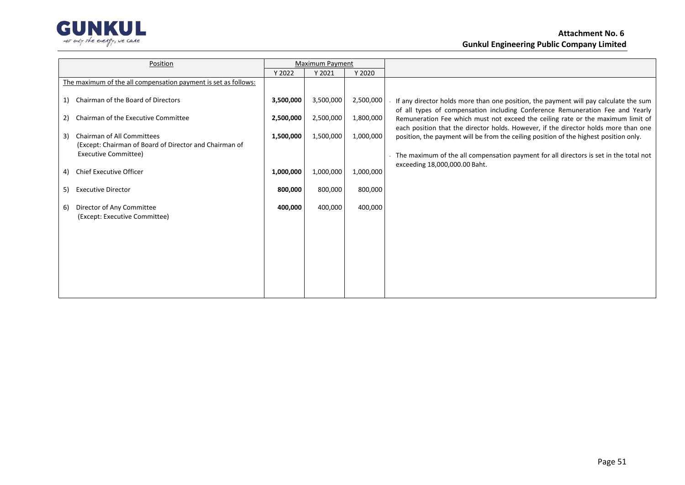

# **Attachment No. 6 Gunkul Engineering Public Company Limited**

| Position                                                                                          |           | <b>Maximum Payment</b> |           |                                                                                                                                                                              |
|---------------------------------------------------------------------------------------------------|-----------|------------------------|-----------|------------------------------------------------------------------------------------------------------------------------------------------------------------------------------|
|                                                                                                   | Y 2022    | Y 2021                 | Y 2020    |                                                                                                                                                                              |
| The maximum of the all compensation payment is set as follows:                                    |           |                        |           |                                                                                                                                                                              |
| Chairman of the Board of Directors<br>1)                                                          | 3,500,000 | 3,500,000              | 2,500,000 | - If any director holds more than one position, the payment will pay calculate the sum<br>of all types of compensation including Conference Remuneration Fee and Yearly      |
| Chairman of the Executive Committee<br>2)                                                         | 2,500,000 | 2,500,000              | 1,800,000 | Remuneration Fee which must not exceed the ceiling rate or the maximum limit of                                                                                              |
| <b>Chairman of All Committees</b><br>3)<br>(Except: Chairman of Board of Director and Chairman of | 1,500,000 | 1,500,000              |           | each position that the director holds. However, if the director holds more than one<br>position, the payment will be from the ceiling position of the highest position only. |
| Executive Committee)                                                                              |           |                        |           | - The maximum of the all compensation payment for all directors is set in the total not                                                                                      |
| Chief Executive Officer<br>4)                                                                     | 1,000,000 | 1,000,000              | 1,000,000 | exceeding 18,000,000.00 Baht.                                                                                                                                                |
| <b>Executive Director</b><br>5)                                                                   | 800,000   | 800,000                | 800,000   |                                                                                                                                                                              |
| Director of Any Committee<br>6)<br>(Except: Executive Committee)                                  | 400,000   | 400,000                | 400,000   |                                                                                                                                                                              |
|                                                                                                   |           |                        |           |                                                                                                                                                                              |
|                                                                                                   |           |                        |           |                                                                                                                                                                              |
|                                                                                                   |           |                        |           |                                                                                                                                                                              |
|                                                                                                   |           |                        |           |                                                                                                                                                                              |
|                                                                                                   |           |                        |           |                                                                                                                                                                              |
|                                                                                                   |           |                        |           |                                                                                                                                                                              |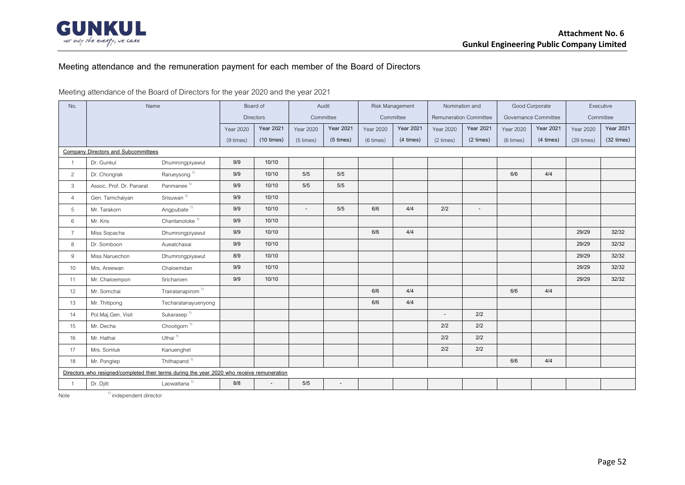

## **Meeting attendance and the remuneration payment for each member of the Board of Directors**

#### Meeting attendance of the Board of Directors for the year 2020 and the year 2021

| No.            | Name                                                                                       |                               | Board of         |                  | Audit     |                  |                  | Risk Management  | Nomination and                |                          |           | Good Corporate       | Executive        |                  |
|----------------|--------------------------------------------------------------------------------------------|-------------------------------|------------------|------------------|-----------|------------------|------------------|------------------|-------------------------------|--------------------------|-----------|----------------------|------------------|------------------|
|                |                                                                                            |                               |                  | <b>Directors</b> |           | Committee        |                  | Committee        | <b>Remuneration Committee</b> |                          |           | Governance Committee | Committee        |                  |
|                |                                                                                            |                               | <b>Year 2020</b> | <b>Year 2021</b> | Year 2020 | <b>Year 2021</b> | <b>Year 2020</b> | <b>Year 2021</b> | Year 2020                     | <b>Year 2021</b>         | Year 2020 | <b>Year 2021</b>     | <b>Year 2020</b> | <b>Year 2021</b> |
|                |                                                                                            |                               | (9 times)        | $(10 \times)$    | (5 times) | (5 times)        | (6 times)        | (4 times)        | (2 times)                     | (2 times)                | (6 times) | (4 times)            | $(29 \times)$    | (32 times)       |
|                | <b>Company Directors and Subcommittees</b>                                                 |                               |                  |                  |           |                  |                  |                  |                               |                          |           |                      |                  |                  |
|                | Dr. Gunkul                                                                                 | Dhumrongpiyawut               | 9/9              | 10/10            |           |                  |                  |                  |                               |                          |           |                      |                  |                  |
| $\overline{2}$ | Dr. Chongrak                                                                               | Rarueysong <sup>1)</sup>      | 9/9              | 10/10            | 5/5       | 5/5              |                  |                  |                               |                          | 6/6       | 4/4                  |                  |                  |
| $\mathbf{3}$   | Assoc. Prof. Dr. Panarat                                                                   | Panmanee <sup>1)</sup>        | 9/9              | 10/10            | 5/5       | 5/5              |                  |                  |                               |                          |           |                      |                  |                  |
| $\overline{4}$ | Gen. Tarnchaiyan                                                                           | Srisuwan <sup>1)</sup>        | 9/9              | 10/10            |           |                  |                  |                  |                               |                          |           |                      |                  |                  |
| 5              | Mr. Tarakorn                                                                               | Angpubate <sup>1)</sup>       | 9/9              | 10/10            | $\sim$    | $5/5$            | 6/6              | 4/4              | 2/2                           | $\overline{\phantom{a}}$ |           |                      |                  |                  |
| 6              | Mr. Kris                                                                                   | Chantanotoke $1$              | 9/9              | 10/10            |           |                  |                  |                  |                               |                          |           |                      |                  |                  |
| $\overline{7}$ | Miss Sopacha                                                                               | Dhumrongpiyawut               | 9/9              | 10/10            |           |                  | 6/6              | 4/4              |                               |                          |           |                      | 29/29            | 32/32            |
| 8              | Dr. Somboon                                                                                | Aueatchasai                   | 9/9              | 10/10            |           |                  |                  |                  |                               |                          |           |                      | 29/29            | 32/32            |
| 9              | Miss Naruechon                                                                             | Dhumrongpiyawut               | 8/9              | 10/10            |           |                  |                  |                  |                               |                          |           |                      | 29/29            | 32/32            |
| 10             | Mrs. Areewan                                                                               | Chaloemdan                    | 9/9              | 10/10            |           |                  |                  |                  |                               |                          |           |                      | 29/29            | 32/32            |
| 11             | Mr. Chaloempon                                                                             | Sricharoen                    | 9/9              | 10/10            |           |                  |                  |                  |                               |                          |           |                      | 29/29            | 32/32            |
| 12             | Mr. Somchai                                                                                | Trairatanapirom <sup>1)</sup> |                  |                  |           |                  | 6/6              | 4/4              |                               |                          | 6/6       | 4/4                  |                  |                  |
| 13             | Mr. Thitipong                                                                              | Techaratanayuenyong           |                  |                  |           |                  | 6/6              | 4/4              |                               |                          |           |                      |                  |                  |
| 14             | Pol.Maj.Gen. Visit                                                                         | Sukarasep <sup>1)</sup>       |                  |                  |           |                  |                  |                  |                               | 2/2                      |           |                      |                  |                  |
| 15             | Mr. Decha                                                                                  | Chooligorn <sup>1)</sup>      |                  |                  |           |                  |                  |                  | 2/2                           | 2/2                      |           |                      |                  |                  |
| 16             | Mr. Hathai                                                                                 | Uthai $1$                     |                  |                  |           |                  |                  |                  | 2/2                           | 2/2                      |           |                      |                  |                  |
| 17             | Mrs. Somluk                                                                                | Kanuenghet                    |                  |                  |           |                  |                  |                  | 2/2                           | 2/2                      |           |                      |                  |                  |
| 18             | Mr. Pongtep                                                                                | Thithapand <sup>1)</sup>      |                  |                  |           |                  |                  |                  |                               |                          | 6/6       | 4/4                  |                  |                  |
|                | Directors who resigned/completed their terms during the year 2020 who receive remuneration |                               |                  |                  |           |                  |                  |                  |                               |                          |           |                      |                  |                  |
|                | Dr. Djitt                                                                                  | Laowattana <sup>1)</sup>      | 8/8              |                  | 5/5       | $\overline{a}$   |                  |                  |                               |                          |           |                      |                  |                  |

Note  $1)$  independent director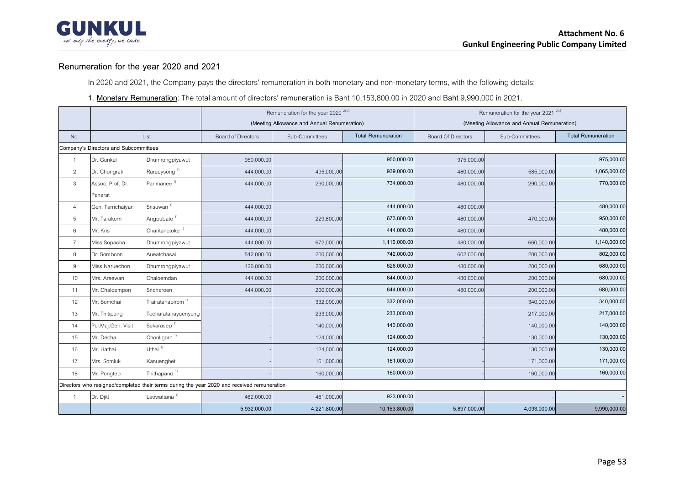

## **Renumeration for the year 2020 and 2021**

In 2020 and 2021, the Company pays the directors' remuneration in both monetary and non-monetary terms, with the following details:

#### **1. Monetary Remuneration**: The total amount of directors' remuneration is Baht 10,153,800.00 in 2020 and Baht 9,990,000 in 2021.

|                |                                       |                               |                                                                                             | Remuneration for the year 2020 <sup>2) 3)</sup> |                           | Remuneration for the year 2021 <sup>2) 3)</sup> |                                             |                           |  |  |  |  |
|----------------|---------------------------------------|-------------------------------|---------------------------------------------------------------------------------------------|-------------------------------------------------|---------------------------|-------------------------------------------------|---------------------------------------------|---------------------------|--|--|--|--|
|                |                                       |                               |                                                                                             | (Meeting Allowance and Annual Renumeration)     |                           |                                                 | (Meeting Allowance and Annual Remuneration) |                           |  |  |  |  |
| No.            |                                       | List                          | <b>Board of Directors</b>                                                                   | Sub-Committees                                  | <b>Total Remuneration</b> | <b>Board Of Directors</b>                       | Sub-Committees                              | <b>Total Remuneration</b> |  |  |  |  |
|                | Company's Directors and Subcommittees |                               |                                                                                             |                                                 |                           |                                                 |                                             |                           |  |  |  |  |
| $\overline{1}$ | Dr. Gunkul                            | Dhumrongpiyawut               | 950,000.00                                                                                  |                                                 | 950,000.00                | 975,000.00                                      |                                             | 975,000.00                |  |  |  |  |
| 2              | Dr. Chongrak                          | Rarueysong <sup>1)</sup>      | 444,000.00                                                                                  | 495,000.00                                      | 939,000.00                | 480,000.00                                      | 585,000.00                                  | 1,065,000.00              |  |  |  |  |
| $\mathbf{3}$   | Assoc. Prof. Dr.                      | Panmanee <sup>1)</sup>        | 444,000.00                                                                                  | 290,000.00                                      | 734,000.00                | 480,000.00                                      | 290,000.00                                  | 770,000.00                |  |  |  |  |
|                | Panarat                               |                               |                                                                                             |                                                 |                           |                                                 |                                             |                           |  |  |  |  |
| $\overline{4}$ | Gen. Tarnchaiyan                      | Srisuwan <sup>1)</sup>        | 444,000.00                                                                                  |                                                 | 444,000.00                | 480,000.00                                      |                                             | 480,000.00                |  |  |  |  |
| 5              | Mr. Tarakorn                          | Angpubate <sup>1)</sup>       | 444,000.00                                                                                  | 229,800.00                                      | 673,800.00                | 480,000.00                                      | 470,000.00                                  | 950,000.00                |  |  |  |  |
| 6              | Mr. Kris                              | Chantanotoke $^{\text{1)}}$   | 444,000.00                                                                                  |                                                 | 444,000.00                | 480,000.00                                      |                                             | 480,000.00                |  |  |  |  |
| $\overline{7}$ | Miss Sopacha                          | Dhumrongpiyawut               | 444,000.00                                                                                  | 672,000.00                                      | 1,116,000.00              | 480,000.00                                      | 660,000.00                                  | 1,140,000.00              |  |  |  |  |
| 8              | Dr. Somboon                           | Aueatchasai                   | 542,000.00                                                                                  | 200,000.00                                      | 742,000.00                | 602,000.00                                      | 200,000.00                                  | 802,000.00                |  |  |  |  |
| 9              | Miss Naruechon                        | Dhumrongpiyawut               | 426,000.00                                                                                  | 200,000.00                                      | 626,000.00                | 480,000.00                                      | 200,000.00                                  | 680,000.00                |  |  |  |  |
| 10             | Mrs. Areewan                          | Chaloemdan                    | 444,000.00                                                                                  | 200,000.00                                      | 644,000.00                | 480,000.00                                      | 200,000.00                                  | 680,000.00                |  |  |  |  |
| 11             | Mr. Chaloempon                        | Sricharoen                    | 444,000.00                                                                                  | 200,000.00                                      | 644,000.00                | 480,000.00                                      | 200,000.00                                  | 680,000.00                |  |  |  |  |
| 12             | Mr. Somchai                           | Trairatanapirom <sup>1)</sup> |                                                                                             | 332,000.00                                      | 332,000.00                |                                                 | 340,000.00                                  | 340,000.00                |  |  |  |  |
| 13             | Mr. Thitipong                         | Techaratanayuenyong           |                                                                                             | 233,000.00                                      | 233,000.00                |                                                 | 217,000.00                                  | 217,000.00                |  |  |  |  |
| 14             | Pol.Maj.Gen. Visit                    | Sukarasep <sup>1)</sup>       |                                                                                             | 140,000.00                                      | 140,000.00                |                                                 | 140,000.00                                  | 140,000.00                |  |  |  |  |
| 15             | Mr. Decha                             | Chooligorn <sup>1)</sup>      |                                                                                             | 124,000.00                                      | 124,000.00                |                                                 | 130,000.00                                  | 130,000.00                |  |  |  |  |
| 16             | Mr. Hathai                            | Uthai <sup>1)</sup>           |                                                                                             | 124,000.00                                      | 124,000.00                |                                                 | 130,000.00                                  | 130,000.00                |  |  |  |  |
| 17             | Mrs. Somluk                           | Kanuenghet                    |                                                                                             | 161,000.00                                      | 161,000.00                |                                                 | 171,000.00                                  | 171,000.00                |  |  |  |  |
| 18             | Mr. Pongtep                           | Thithapand <sup>1)</sup>      |                                                                                             | 160,000.00                                      | 160,000.00                |                                                 | 160,000.00                                  | 160,000.00                |  |  |  |  |
|                |                                       |                               | Directors who resigned/completed their terms during the year 2020 and received remuneration |                                                 |                           |                                                 |                                             |                           |  |  |  |  |
| $\overline{1}$ | Dr. Djitt                             | Laowattana <sup>1)</sup>      | 462,000.00                                                                                  | 461,000.00                                      | 923,000.00                |                                                 |                                             |                           |  |  |  |  |
|                |                                       |                               | 5,932,000.00                                                                                | 4,221,800.00                                    | 10,153,800.00             | 5,897,000.00                                    | 4,093,000.00                                | 9,990,000.00              |  |  |  |  |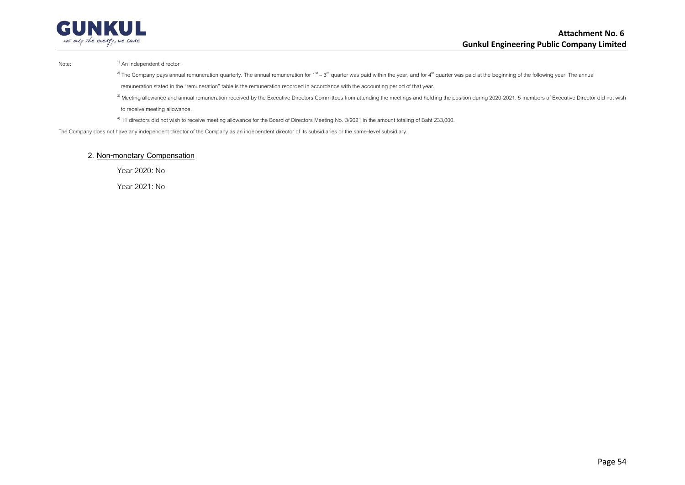

Note: 1) An independent director

<sup>2)</sup> The Company pays annual remuneration quarterly. The annual remuneration for 1<sup>st</sup> – 3<sup>rd</sup> quarter was paid within the year, and for 4<sup>th</sup> quarter was paid at the beginning of the following year. The annual remuneration stated in the "remuneration" table is the remuneration recorded in accordance with the accounting period of that year.

<sup>3)</sup> Meeting allowance and annual remuneration received by the Executive Directors Committees from attending the meetings and holding the position during 2020-2021. 5 members of Executive Director did not wish to receive meeting allowance.

<sup>4)</sup> 11 directors did not wish to receive meeting allowance for the Board of Directors Meeting No. 3/2021 in the amount totaling of Baht 233,000.

The Company does not have any independent director of the Company as an independent director of its subsidiaries or the same-level subsidiary.

#### **2. Non-monetary Compensation**

Year 2020: No

Year 2021: No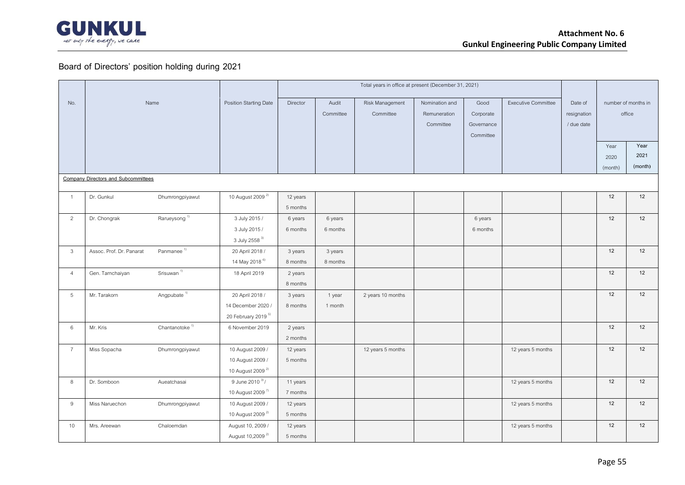

# **Board of Directors' position holding during 2021**

|                 |                                            |                             |                                |          |           | Total years in office at present (December 31, 2021) |                |            |                            |             |         |                     |
|-----------------|--------------------------------------------|-----------------------------|--------------------------------|----------|-----------|------------------------------------------------------|----------------|------------|----------------------------|-------------|---------|---------------------|
| No.             |                                            | Name                        | Position Starting Date         | Director | Audit     | Risk Management                                      | Nomination and | Good       | <b>Executive Committee</b> | Date of     |         | number of months in |
|                 |                                            |                             |                                |          | Committee | Committee                                            | Remuneration   | Corporate  |                            | resignation |         | office              |
|                 |                                            |                             |                                |          |           |                                                      | Committee      | Governance |                            | / due date  |         |                     |
|                 |                                            |                             |                                |          |           |                                                      |                | Committee  |                            |             |         |                     |
|                 |                                            |                             |                                |          |           |                                                      |                |            |                            |             | Year    | Year                |
|                 |                                            |                             |                                |          |           |                                                      |                |            |                            |             | 2020    | 2021                |
|                 |                                            |                             |                                |          |           |                                                      |                |            |                            |             | (month) | (month)             |
|                 | <b>Company Directors and Subcommittees</b> |                             |                                |          |           |                                                      |                |            |                            |             |         |                     |
| $\overline{1}$  | Dr. Gunkul                                 | Dhumrongpiyawut             | 10 August 2009 <sup>2)</sup>   | 12 years |           |                                                      |                |            |                            |             | 12      | 12                  |
|                 |                                            |                             |                                | 5 months |           |                                                      |                |            |                            |             |         |                     |
| 2               | Dr. Chongrak                               | Rarueysong <sup>1)</sup>    | 3 July 2015 /                  | 6 years  | 6 years   |                                                      |                | 6 years    |                            |             | 12      | 12                  |
|                 |                                            |                             | 3 July 2015 /                  | 6 months | 6 months  |                                                      |                | 6 months   |                            |             |         |                     |
|                 |                                            |                             | 3 July 2558 3)                 |          |           |                                                      |                |            |                            |             |         |                     |
| 3               | Assoc. Prof. Dr. Panarat                   | Panmanee <sup>1)</sup>      | 20 April 2018 /                | 3 years  | 3 years   |                                                      |                |            |                            |             | 12      | 12                  |
|                 |                                            |                             | 14 May 2018 <sup>6)</sup>      | 8 months | 8 months  |                                                      |                |            |                            |             |         |                     |
| $\overline{4}$  | Gen. Tarnchaiyan                           | Srisuwan <sup>1)</sup>      | 18 April 2019                  | 2 years  |           |                                                      |                |            |                            |             | 12      | 12                  |
|                 |                                            |                             |                                | 8 months |           |                                                      |                |            |                            |             |         |                     |
| 5               | Mr. Tarakorn                               | Angpubate $1$ <sup>1)</sup> | 20 April 2018 /                | 3 years  | 1 year    | 2 years 10 months                                    |                |            |                            |             | 12      | 12                  |
|                 |                                            |                             | 14 December 2020 /             | 8 months | 1 month   |                                                      |                |            |                            |             |         |                     |
|                 |                                            |                             | 20 February 2019 <sup>5)</sup> |          |           |                                                      |                |            |                            |             |         |                     |
| $6\phantom{.}6$ | Mr. Kris                                   | Chantanotoke <sup>1)</sup>  | 6 November 2019                | 2 years  |           |                                                      |                |            |                            |             | 12      | 12                  |
|                 |                                            |                             |                                | 2 months |           |                                                      |                |            |                            |             |         |                     |
| $\overline{7}$  | Miss Sopacha                               | Dhumrongpiyawut             | 10 August 2009 /               | 12 years |           | 12 years 5 months                                    |                |            | 12 years 5 months          |             | 12      | 12                  |
|                 |                                            |                             | 10 August 2009 /               | 5 months |           |                                                      |                |            |                            |             |         |                     |
|                 |                                            |                             | 10 August 2009 <sup>2)</sup>   |          |           |                                                      |                |            |                            |             |         |                     |
| 8               | Dr. Somboon                                | Aueatchasai                 | 9 June 2010 3/                 | 11 years |           |                                                      |                |            | 12 years 5 months          |             | 12      | 12                  |
|                 |                                            |                             | 10 August 2009 <sup>7</sup>    | 7 months |           |                                                      |                |            |                            |             |         |                     |
| 9               | Miss Naruechon                             | Dhumrongpiyawut             | 10 August 2009 /               | 12 years |           |                                                      |                |            | 12 years 5 months          |             | 12      | 12                  |
|                 |                                            |                             | 10 August 2009 <sup>2)</sup>   | 5 months |           |                                                      |                |            |                            |             |         |                     |
| 10              | Mrs. Areewan                               | Chaloemdan                  | August 10, 2009 /              | 12 years |           |                                                      |                |            | 12 years 5 months          |             | 12      | 12                  |
|                 |                                            |                             | August 10,2009 <sup>2)</sup>   | 5 months |           |                                                      |                |            |                            |             |         |                     |